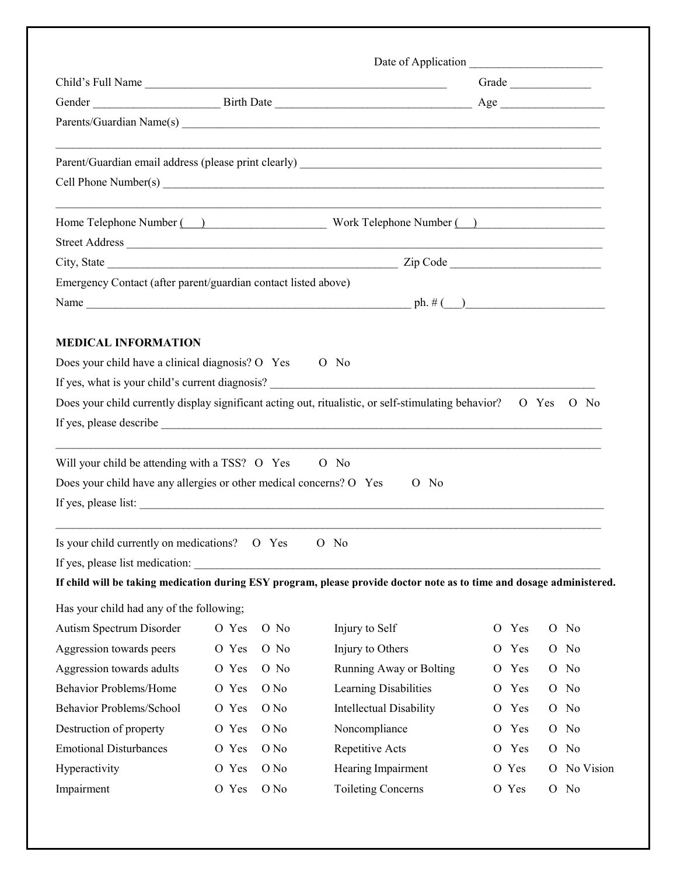| Child's Full Name                                                   |       |      |                                                                                                                       |                | Grade |   |           |
|---------------------------------------------------------------------|-------|------|-----------------------------------------------------------------------------------------------------------------------|----------------|-------|---|-----------|
|                                                                     |       |      |                                                                                                                       |                |       |   |           |
|                                                                     |       |      |                                                                                                                       |                |       |   |           |
|                                                                     |       |      |                                                                                                                       |                |       |   |           |
|                                                                     |       |      |                                                                                                                       |                |       |   |           |
|                                                                     |       |      |                                                                                                                       |                |       |   |           |
|                                                                     |       |      | Home Telephone Number (2002) Work Telephone Number (2008) Work Telephone Number (2008)                                |                |       |   |           |
|                                                                     |       |      |                                                                                                                       |                |       |   |           |
|                                                                     |       |      |                                                                                                                       |                |       |   |           |
| Emergency Contact (after parent/guardian contact listed above)      |       |      |                                                                                                                       |                |       |   |           |
|                                                                     |       |      |                                                                                                                       |                |       |   |           |
|                                                                     |       |      |                                                                                                                       |                |       |   |           |
| <b>MEDICAL INFORMATION</b>                                          |       |      |                                                                                                                       |                |       |   |           |
| Does your child have a clinical diagnosis? O Yes                    |       |      | $O$ No                                                                                                                |                |       |   |           |
|                                                                     |       |      | If yes, what is your child's current diagnosis?                                                                       |                |       |   |           |
|                                                                     |       |      | Does your child currently display significant acting out, ritualistic, or self-stimulating behavior?                  |                | O Yes |   | $O$ No    |
|                                                                     |       |      |                                                                                                                       |                |       |   |           |
|                                                                     |       |      |                                                                                                                       |                |       |   |           |
| Will your child be attending with a TSS? O Yes                      |       |      | $O$ No                                                                                                                |                |       |   |           |
| Does your child have any allergies or other medical concerns? O Yes |       |      | $O$ No                                                                                                                |                |       |   |           |
|                                                                     |       |      |                                                                                                                       |                |       |   |           |
| Is your child currently on medications? O Yes                       |       |      | O No                                                                                                                  |                |       |   |           |
| If yes, please list medication:                                     |       |      |                                                                                                                       |                |       |   |           |
|                                                                     |       |      | If child will be taking medication during ESY program, please provide doctor note as to time and dosage administered. |                |       |   |           |
| Has your child had any of the following;                            |       |      |                                                                                                                       |                |       |   |           |
| Autism Spectrum Disorder                                            | O Yes | O No | Injury to Self                                                                                                        | $\overline{O}$ | Yes   |   | O No      |
| Aggression towards peers                                            | O Yes | O No | Injury to Others                                                                                                      | O              | Yes   |   | O No      |
| Aggression towards adults                                           | O Yes | O No | Running Away or Bolting                                                                                               |                | O Yes |   | O No      |
| <b>Behavior Problems/Home</b>                                       | O Yes | O No | Learning Disabilities                                                                                                 | $\mathcal{O}$  | Yes   |   | O No      |
| Behavior Problems/School                                            | O Yes | O No | Intellectual Disability                                                                                               |                | O Yes |   | O No      |
| Destruction of property                                             | O Yes | O No | Noncompliance                                                                                                         | $\overline{O}$ | Yes   |   | O No      |
| <b>Emotional Disturbances</b>                                       | O Yes | O No | Repetitive Acts                                                                                                       |                | O Yes |   | O No      |
| Hyperactivity                                                       | O Yes | O No | Hearing Impairment                                                                                                    |                | O Yes | O | No Vision |
| Impairment                                                          | O Yes | O No | <b>Toileting Concerns</b>                                                                                             |                | O Yes |   | O No      |
|                                                                     |       |      |                                                                                                                       |                |       |   |           |